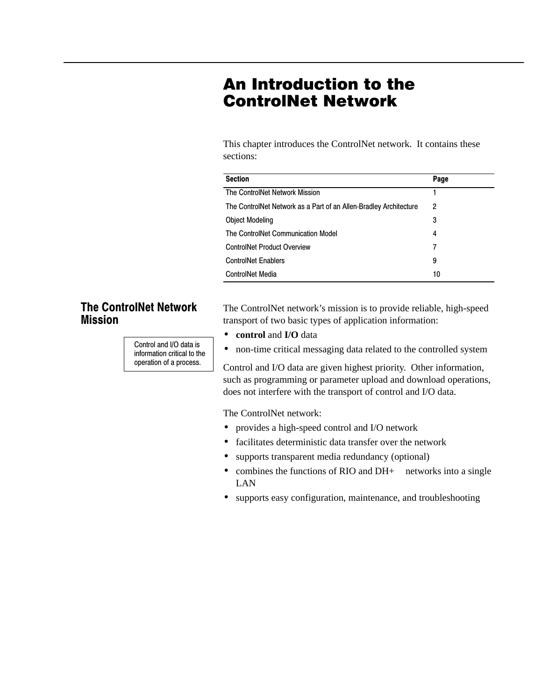# An Introduction to the **ControlNet Network**

This chapter introduces the ControlNet network. It contains these sections:

| <b>Section</b>                                                    | Page |
|-------------------------------------------------------------------|------|
| The ControlNet Network Mission                                    |      |
| The ControlNet Network as a Part of an Allen-Bradley Architecture | 2    |
| <b>Object Modeling</b>                                            | 3    |
| The ControlNet Communication Model                                | 4    |
| <b>ControlNet Product Overview</b>                                | 7    |
| <b>ControlNet Enablers</b>                                        | 9    |
| <b>ControlNet Media</b>                                           | 10   |

## **The ControlNet Network Mission**

Control and I/O data is information critical to the operation of a process.

The ControlNet network's mission is to provide reliable, high-speed transport of two basic types of application information:

- **control** and **I/O** data
- non-time critical messaging data related to the controlled system

Control and I/O data are given highest priority. Other information, such as programming or parameter upload and download operations, does not interfere with the transport of control and I/O data.

The ControlNet network:

- provides a high-speed control and I/O network
- facilitates deterministic data transfer over the network
- supports transparent media redundancy (optional)
- combines the functions of RIO and  $DH+^{TM}$  networks into a single LAN
- supports easy configuration, maintenance, and troubleshooting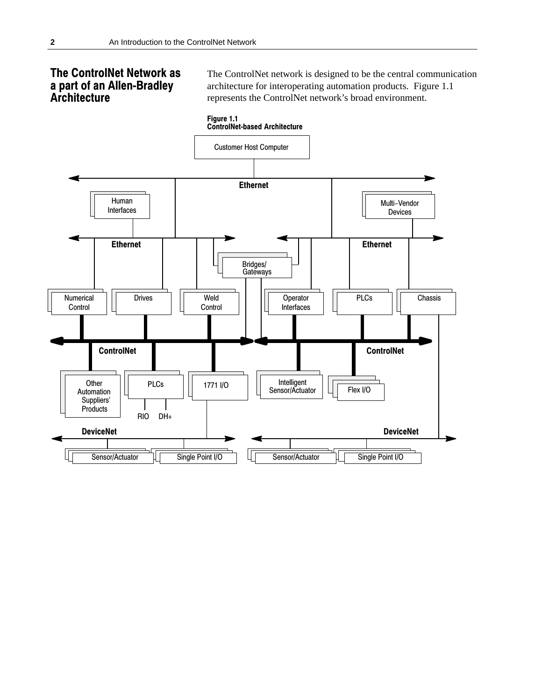## **The ControlNet Network as** a part of an Allen-Bradley Architecture

The ControlNet network is designed to be the central communication architecture for interoperating automation products. Figure 1.1 represents the ControlNet network's broad environment.

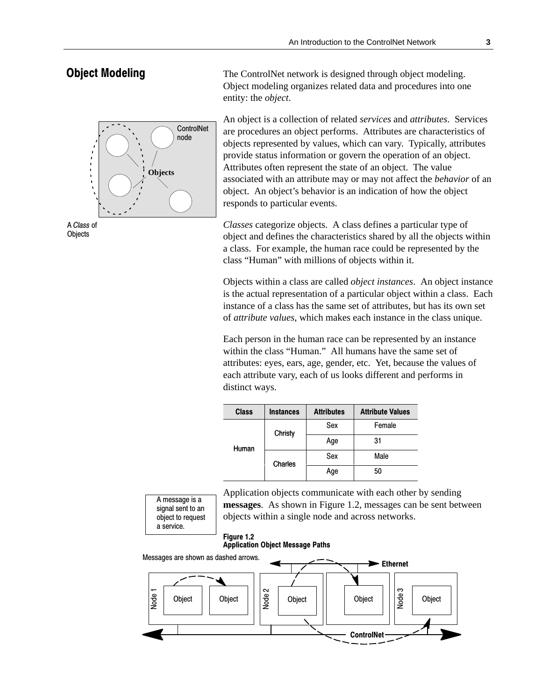## **Object Modeling**

The ControlNet network is designed through object modeling. Object modeling organizes related data and procedures into one entity: the *object*.

An object is a collection of related *services* and *attributes*. Services are procedures an object performs. Attributes are characteristics of objects represented by values, which can vary. Typically, attributes provide status information or govern the operation of an object. Attributes often represent the state of an object. The value associated with an attribute may or may not affect the *behavior* of an object. An object's behavior is an indication of how the object responds to particular events.

*Classes* categorize objects. A class defines a particular type of object and defines the characteristics shared by all the objects within a class. For example, the human race could be represented by the class "Human" with millions of objects within it.

Objects within a class are called *object instances*. An object instance is the actual representation of a particular object within a class. Each instance of a class has the same set of attributes, but has its own set of *attribute values*, which makes each instance in the class unique.

Each person in the human race can be represented by an instance within the class "Human." All humans have the same set of attributes: eyes, ears, age, gender, etc. Yet, because the values of each attribute vary, each of us looks different and performs in distinct ways.

| <b>Class</b>     | <b>Instances</b> | <b>Attributes</b> | <b>Attribute Values</b> |
|------------------|------------------|-------------------|-------------------------|
|                  | Christy          | Sex               | Female                  |
| Human<br>Charles |                  | Age               | 31                      |
|                  |                  | Sex               | Male                    |
|                  | Age              | 50                |                         |

Application objects communicate with each other by sending **messages**. As shown in Figure 1.2, messages can be sent between objects within a single node and across networks.

#### Figure 1.2 **Application Object Message Paths**

Messages are shown as dashed arrows.

A message is a signal sent to an object to request a service.





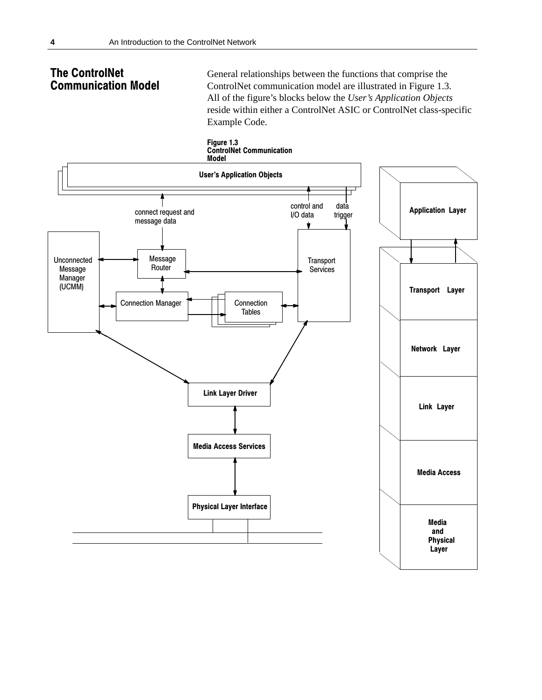## **The ControlNet Communication Model**

General relationships between the functions that comprise the ControlNet communication model are illustrated in Figure 1.3. All of the figure's blocks below the User's Application Objects reside within either a ControlNet ASIC or ControlNet class-specific Example Code.

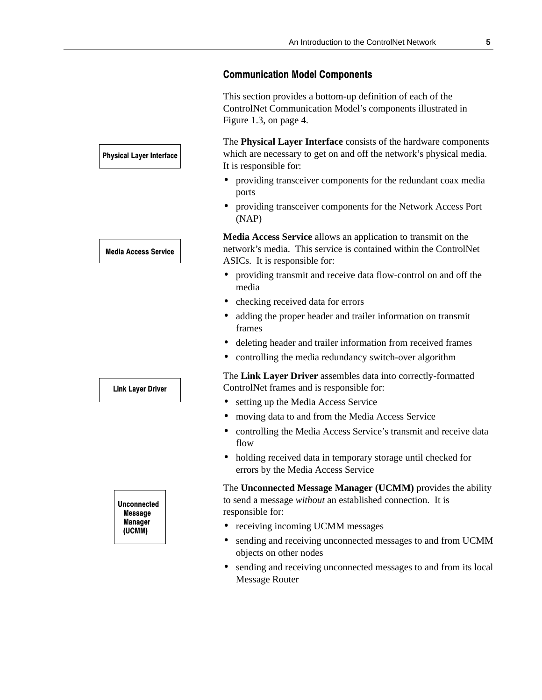## **Communication Model Components**

This section provides a bottom-up definition of each of the ControlNet Communication Model's components illustrated in Figure 1.3, on page 4.

The **Physical Layer Interface** consists of the hardware components which are necessary to get on and off the network's physical media. It is responsible for:

- providing transceiver components for the redundant coax media ports
- providing transceiver components for the Network Access Port (NAP)

**Media Access Service** allows an application to transmit on the network's media. This service is contained within the ControlNet ASICs. It is responsible for:

- providing transmit and receive data flow-control on and off the media
- checking received data for errors
- adding the proper header and trailer information on transmit frames
- deleting header and trailer information from received frames
- controlling the media redundancy switch-over algorithm

The **Link Layer Driver** assembles data into correctly-formatted ControlNet frames and is responsible for:

- setting up the Media Access Service
- moving data to and from the Media Access Service
- controlling the Media Access Service's transmit and receive data flow
- holding received data in temporary storage until checked for errors by the Media Access Service

The **Unconnected Message Manager (UCMM)** provides the ability to send a message *without* an established connection. It is responsible for:

- receiving incoming UCMM messages
- sending and receiving unconnected messages to and from UCMM objects on other nodes
- sending and receiving unconnected messages to and from its local Message Router

## **Physical Layer Interface**

**Media Access Service** 

## **Link Layer Driver**

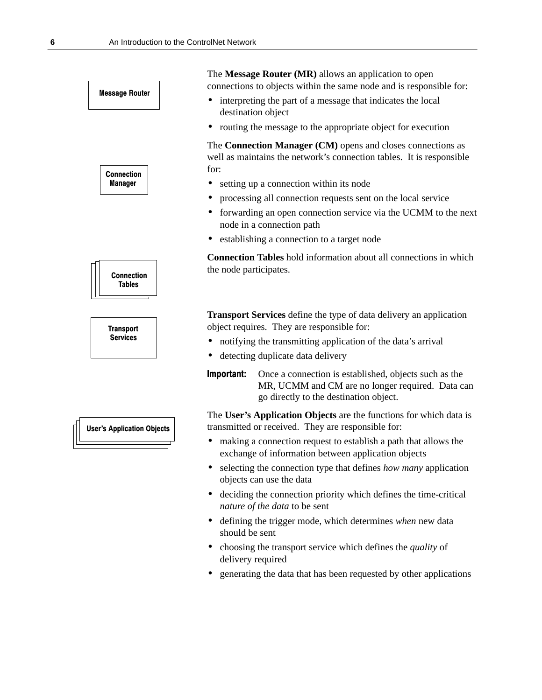

- deciding the connection priority which defines the time-critical *nature of the data* to be sent
- defining the trigger mode, which determines *when* new data should be sent
- choosing the transport service which defines the *quality* of delivery required
- generating the data that has been requested by other applications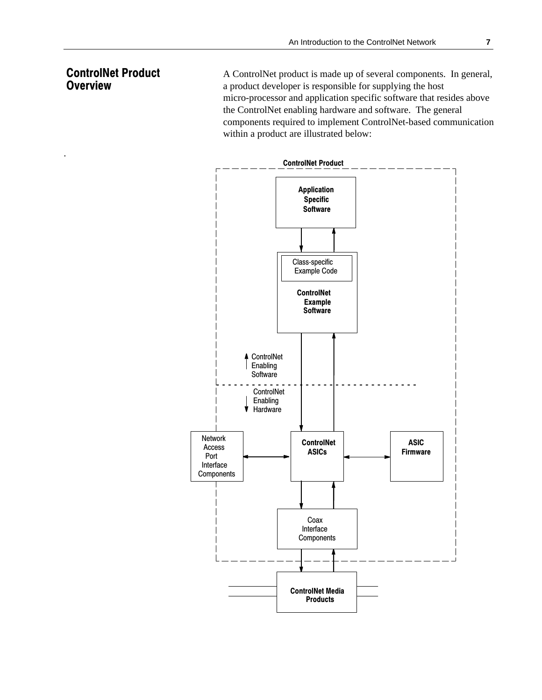## **ControlNet Product Overview**

.

A ControlNet product is made up of several components. In general, a product developer is responsible for supplying the host micro-processor and application specific software that resides above the ControlNet enabling hardware and software. The general components required to implement ControlNet-based communication within a product are illustrated below:

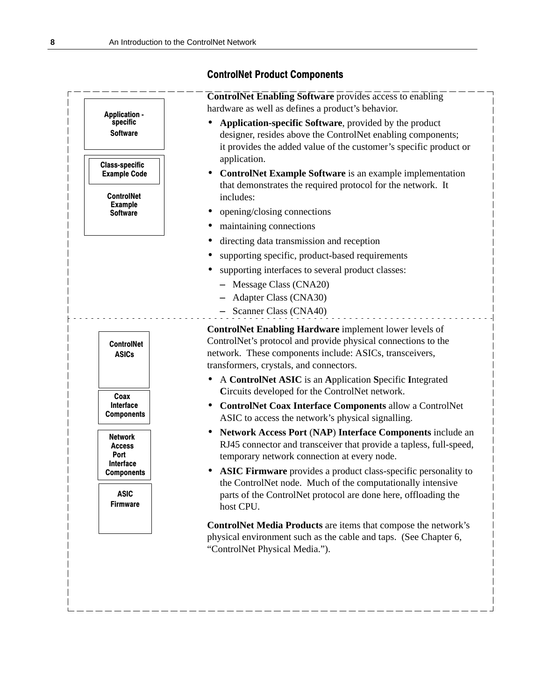|                                                      | <b>ControlNet Enabling Software provides access to enabling</b><br>hardware as well as defines a product's behavior.                                                                                                          |
|------------------------------------------------------|-------------------------------------------------------------------------------------------------------------------------------------------------------------------------------------------------------------------------------|
| <b>Application -</b><br>specific<br><b>Software</b>  | Application-specific Software, provided by the product<br>designer, resides above the ControlNet enabling components;<br>it provides the added value of the customer's specific product or                                    |
| <b>Class-specific</b><br><b>Example Code</b>         | application.<br>ControlNet Example Software is an example implementation                                                                                                                                                      |
| <b>ControlNet</b><br><b>Example</b>                  | that demonstrates the required protocol for the network. It<br>includes:                                                                                                                                                      |
| <b>Software</b>                                      | opening/closing connections                                                                                                                                                                                                   |
|                                                      | maintaining connections<br>$\bullet$                                                                                                                                                                                          |
|                                                      | directing data transmission and reception                                                                                                                                                                                     |
|                                                      | supporting specific, product-based requirements                                                                                                                                                                               |
|                                                      | supporting interfaces to several product classes:                                                                                                                                                                             |
|                                                      | - Message Class (CNA20)                                                                                                                                                                                                       |
|                                                      | <b>Adapter Class (CNA30)</b>                                                                                                                                                                                                  |
|                                                      | Scanner Class (CNA40)                                                                                                                                                                                                         |
| <b>ControlNet</b><br><b>ASICs</b>                    | ControlNet Enabling Hardware implement lower levels of<br>ControlNet's protocol and provide physical connections to the<br>network. These components include: ASICs, transceivers,<br>transformers, crystals, and connectors. |
|                                                      | A ControlNet ASIC is an Application Specific Integrated<br>Circuits developed for the ControlNet network.                                                                                                                     |
| Coax<br>Interface<br><b>Components</b>               | ControlNet Coax Interface Components allow a ControlNet<br>ASIC to access the network's physical signalling.                                                                                                                  |
| Network<br><b>Access</b><br><b>Port</b><br>Interface | Network Access Port (NAP) Interface Components include an<br>RJ45 connector and transceiver that provide a tapless, full-speed,<br>temporary network connection at every node.                                                |
| <b>Components</b>                                    | <b>ASIC Firmware</b> provides a product class-specific personality to<br>the ControlNet node. Much of the computationally intensive                                                                                           |
| <b>ASIC</b><br><b>Firmware</b>                       | parts of the ControlNet protocol are done here, offloading the<br>host CPU.                                                                                                                                                   |
|                                                      | ControlNet Media Products are items that compose the network's<br>physical environment such as the cable and taps. (See Chapter 6,<br>"ControlNet Physical Media.").                                                          |

\_\_\_\_\_\_\_\_\_\_\_\_\_\_\_\_

L,

# **ControlNet Product Components**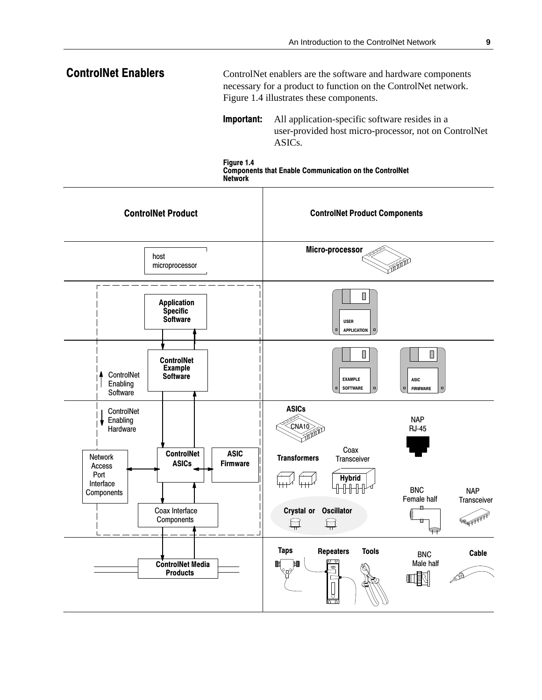#### **ControlNet Enablers** ControlNet enablers are the software and hardware components necessary for a product to function on the ControlNet network. Figure 1.4 illustrates these components.

Important: All application-specific software resides in a user-provided host micro-processor, not on ControlNet ASIC<sub>s</sub>.



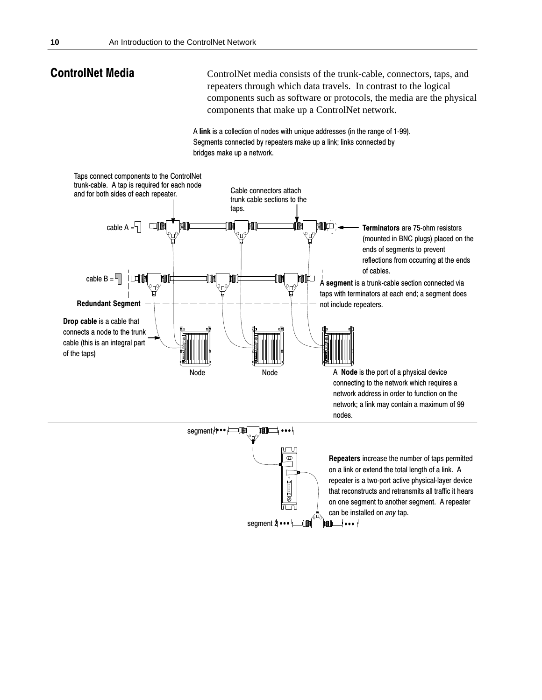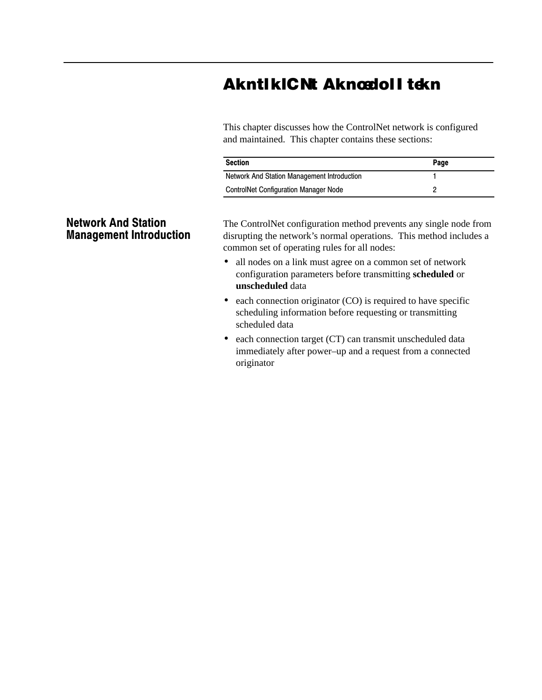# AkntikiCNt Aknœdoli tekn

This chapter discusses how the ControlNet network is configured and maintained. This chapter contains these sections:

| <b>Section</b>                               | Page |
|----------------------------------------------|------|
| Network And Station Management Introduction  |      |
| <b>ControlNet Configuration Manager Node</b> |      |

## **Network And Station Management Introduction**

The ControlNet configuration method prevents any single node from disrupting the network's normal operations. This method includes a common set of operating rules for all nodes:

- all nodes on a link must agree on a common set of network configuration parameters before transmitting **scheduled** or **unscheduled** data
- each connection originator (CO) is required to have specific scheduling information before requesting or transmitting scheduled data
- each connection target (CT) can transmit unscheduled data immediately after power–up and a request from a connected originator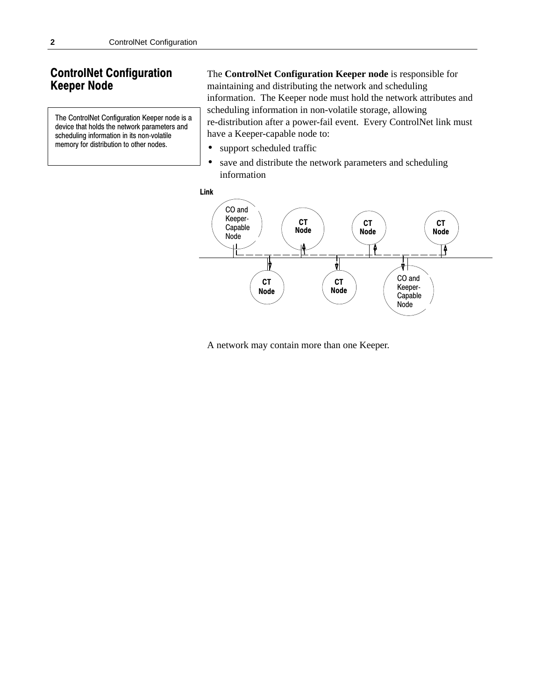## **ControlNet Configuration Keeper Node**

The ControlNet Configuration Keeper node is a device that holds the network parameters and scheduling information in its non-volatile memory for distribution to other nodes.

The **ControlNet Configuration Keeper node** is responsible for maintaining and distributing the network and scheduling information. The Keeper node must hold the network attributes and scheduling information in non-volatile storage, allowing re-distribution after a power-fail event. Every ControlNet link must have a Keeper-capable node to:

- support scheduled traffic
- save and distribute the network parameters and scheduling information





A network may contain more than one Keeper.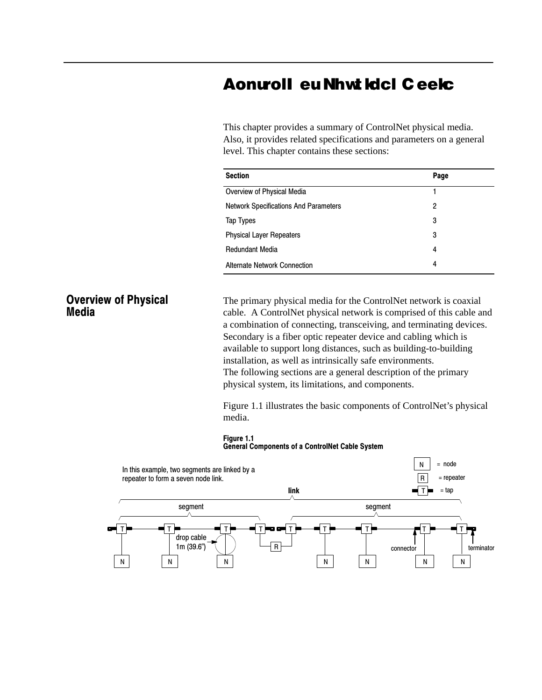# **Aontroll eu Nhwt Idcl Ceelc**

This chapter provides a summary of ControlNet physical media. Also, it provides related specifications and parameters on a general level. This chapter contains these sections:

| <b>Section</b>                               | Page |
|----------------------------------------------|------|
| Overview of Physical Media                   |      |
| <b>Network Specifications And Parameters</b> | 2    |
| Tap Types                                    | 3    |
| <b>Physical Layer Repeaters</b>              | 3    |
| <b>Redundant Media</b>                       | 4    |
| <b>Alternate Network Connection</b>          | 4    |

## **Overview of Physical Media**

The primary physical media for the ControlNet network is coaxial cable. A ControlNet physical network is comprised of this cable and a combination of connecting, transceiving, and terminating devices. Secondary is a fiber optic repeater device and cabling which is available to support long distances, such as building-to-building installation, as well as intrinsically safe environments. The following sections are a general description of the primary physical system, its limitations, and components.

Figure 1.1 illustrates the basic components of ControlNet's physical media.

#### Figure 1.1



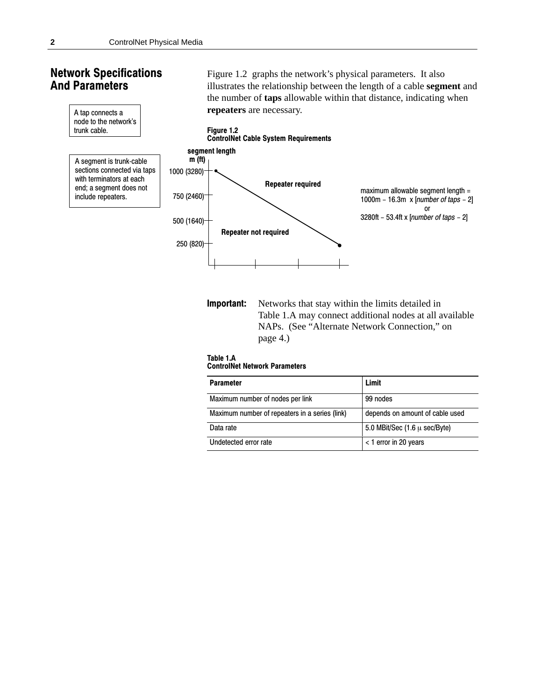## **Network Specifications And Parameters**



**Important:** Networks that stay within the limits detailed in Table 1.A may connect additional nodes at all available NAPs. (See "Alternate Network Connection," on page 4.)

Figure 1.2 graphs the network's physical parameters. It also

#### Table 1.A



| <b>Parameter</b>                               | Limit                                     |
|------------------------------------------------|-------------------------------------------|
| Maximum number of nodes per link               | 99 nodes                                  |
| Maximum number of repeaters in a series (link) | depends on amount of cable used           |
| Data rate                                      | 5.0 MBit/Sec $(1.6 \mu \text{ sec/Byte})$ |
| Undetected error rate                          | < 1 error in 20 years                     |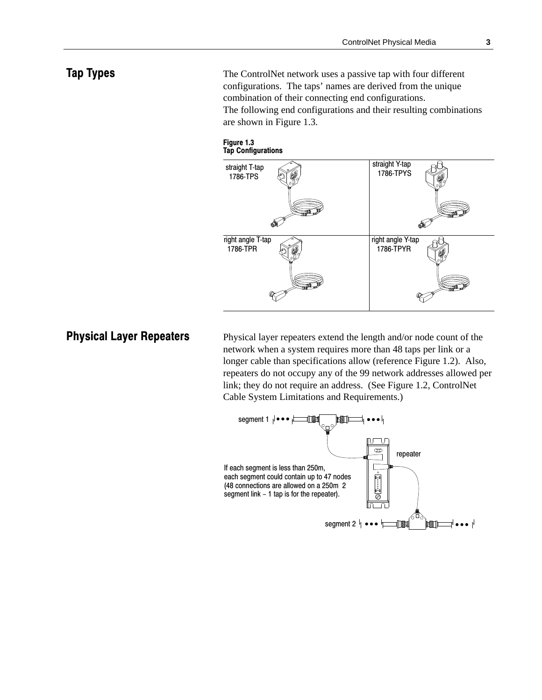## **Tap Types**

The ControlNet network uses a passive tap with four different configurations. The taps' names are derived from the unique combination of their connecting end configurations. The following end configurations and their resulting combinations are shown in Figure 1.3.





# **Physical Layer Repeaters**

Physical layer repeaters extend the length and/or node count of the network when a system requires more than 48 taps per link or a longer cable than specifications allow (reference Figure 1.2). Also, repeaters do not occupy any of the 99 network addresses allowed per link; they do not require an address. (See Figure 1.2, ControlNet Cable System Limitations and Requirements.)

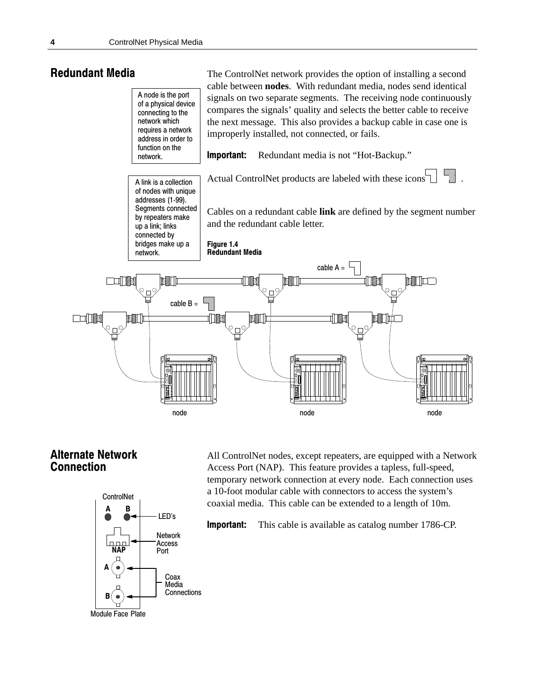## **Redundant Media**



## **Alternate Network Connection**



All ControlNet nodes, except repeaters, are equipped with a Network Access Port (NAP). This feature provides a tapless, full-speed, temporary network connection at every node. Each connection uses a 10-foot modular cable with connectors to access the system's coaxial media. This cable can be extended to a length of 10m.

The ControlNet network provides the option of installing a second

Important: This cable is available as catalog number 1786-CP.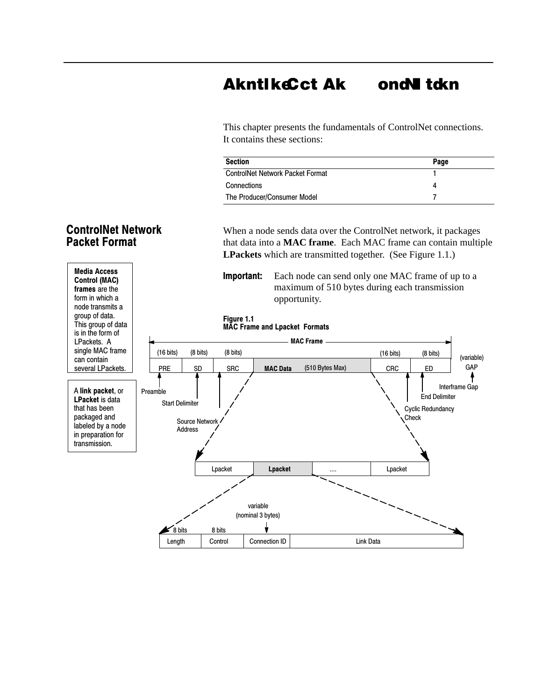#### **AkntlkeCct A** k ondN tdkn

This chapter presents the fundamentals of ControlNet connections. It contains these sections:

| <b>Section</b>                          | Page |
|-----------------------------------------|------|
| <b>ControlNet Network Packet Format</b> |      |
| Connections                             |      |
| The Producer/Consumer Model             |      |

When a node sends data over the ControlNet network, it packages that data into a **MAC frame**. Each MAC frame can contain multiple **LPackets** which are transmitted together. (See Figure 1.1.)



## **ControlNet Network Packet Format**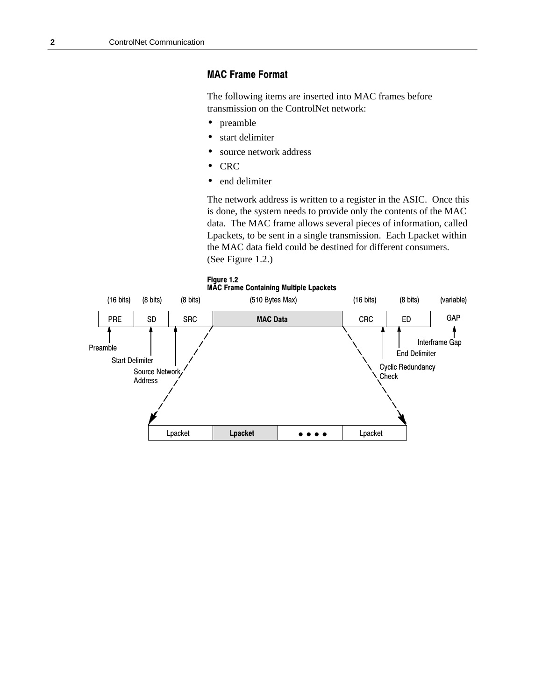## **MAC Frame Format**

The following items are inserted into MAC frames before transmission on the ControlNet network:

- preamble  $\bullet$
- start delimiter  $\bullet$
- $\bullet$ source network address
- **CRC**  $\bullet$
- end delimiter  $\bullet$

The network address is written to a register in the ASIC. Once this is done, the system needs to provide only the contents of the MAC data. The MAC frame allows several pieces of information, called Lpackets, to be sent in a single transmission. Each Lpacket within the MAC data field could be destined for different consumers. (See Figure 1.2.)

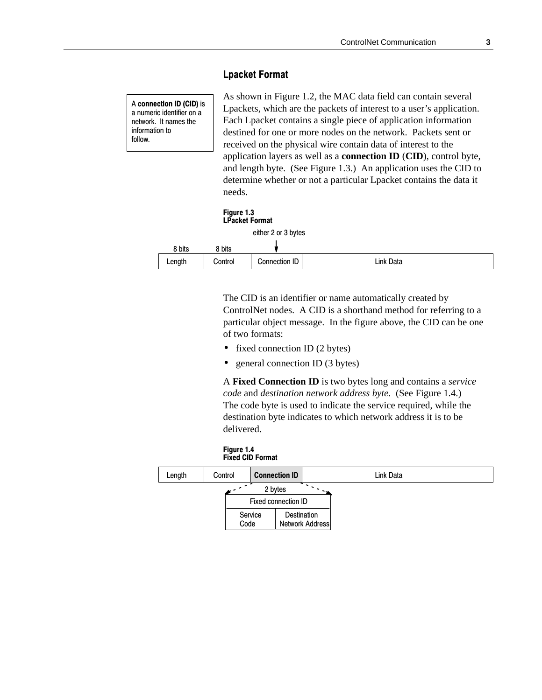### **Lpacket Format**

A **connection ID (CID)** is a numeric identifier on a network. It names the information to follow.

As shown in Figure 1.2, the MAC data field can contain several Lpackets, which are the packets of interest to a user's application. Each Lpacket contains a single piece of application information destined for one or more nodes on the network. Packets sent or received on the physical wire contain data of interest to the application layers as well as a **connection ID** (**CID**), control byte, and length byte. (See Figure 1.3.) An application uses the CID to determine whether or not a particular Lpacket contains the data it needs.

| Figure 1.3<br><b>LPacket Format</b> |                     |
|-------------------------------------|---------------------|
|                                     | either 2 or 3 bytes |

| 8 bits | 8 bits  |               |           |
|--------|---------|---------------|-----------|
| Length | Control | Connection ID | Link Data |

The CID is an identifier or name automatically created by ControlNet nodes. A CID is a shorthand method for referring to a particular object message. In the figure above, the CID can be one of two formats:

- fixed connection ID (2 bytes)
- general connection ID (3 bytes)

A **Fixed Connection ID** is two bytes long and contains a *service code* and *destination network address byte.* (See Figure 1.4.) The code byte is used to indicate the service required, while the destination byte indicates to which network address it is to be delivered.

| Figure 1.4 |                         |
|------------|-------------------------|
|            | <b>Fixed CID Format</b> |

| Length | Control         | <b>Connection ID</b>                  |
|--------|-----------------|---------------------------------------|
|        |                 | 2 bytes<br>Fixed connection ID        |
|        | Service<br>Code | <b>Destination</b><br>Network Address |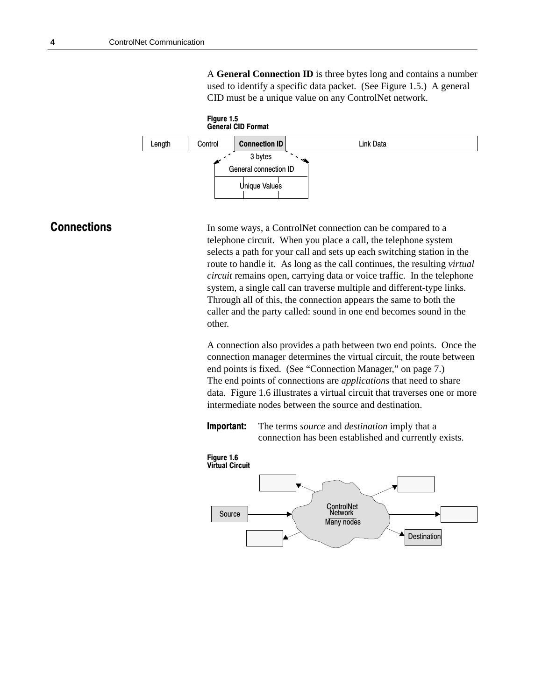A **General Connection ID** is three bytes long and contains a number used to identify a specific data packet. (See Figure 1.5.) A general CID must be a unique value on any ControlNet network.



## **Connections**

In some ways, a ControlNet connection can be compared to a telephone circuit. When you place a call, the telephone system selects a path for your call and sets up each switching station in the route to handle it. As long as the call continues, the resulting *virtual circuit* remains open, carrying data or voice traffic. In the telephone system, a single call can traverse multiple and different-type links. Through all of this, the connection appears the same to both the caller and the party called: sound in one end becomes sound in the other.

A connection also provides a path between two end points. Once the connection manager determines the virtual circuit, the route between end points is fixed. (See "Connection Manager," on page 7.) The end points of connections are *applications* that need to share data. Figure 1.6 illustrates a virtual circuit that traverses one or more intermediate nodes between the source and destination.

**Important:** The terms *source* and *destination* imply that a connection has been established and currently exists.

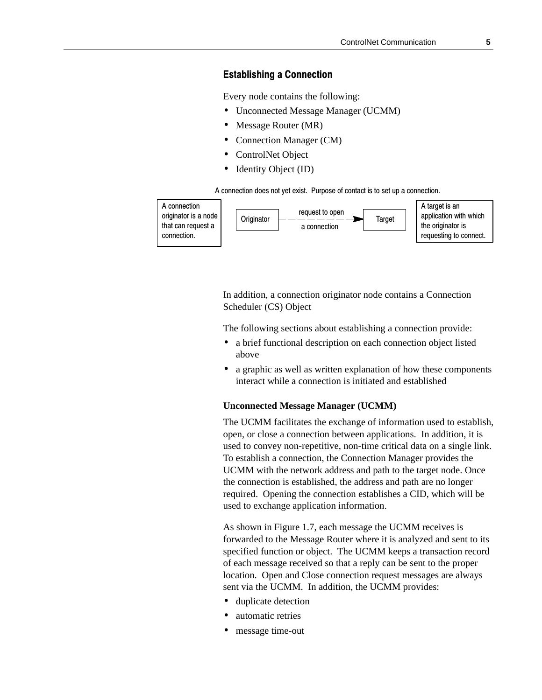### **Establishing a Connection**

Every node contains the following:

- Unconnected Message Manager (UCMM)
- Message Router (MR)
- Connection Manager (CM)
- ControlNet Object
- Identity Object (ID)

A connection does not yet exist. Purpose of contact is to set up a connection.



In addition, a connection originator node contains a Connection Scheduler (CS) Object

The following sections about establishing a connection provide:

- a brief functional description on each connection object listed above
- a graphic as well as written explanation of how these components interact while a connection is initiated and established

#### **Unconnected Message Manager (UCMM)**

The UCMM facilitates the exchange of information used to establish, open, or close a connection between applications. In addition, it is used to convey non-repetitive, non-time critical data on a single link. To establish a connection, the Connection Manager provides the UCMM with the network address and path to the target node. Once the connection is established, the address and path are no longer required. Opening the connection establishes a CID, which will be used to exchange application information.

As shown in Figure 1.7, each message the UCMM receives is forwarded to the Message Router where it is analyzed and sent to its specified function or object. The UCMM keeps a transaction record of each message received so that a reply can be sent to the proper location. Open and Close connection request messages are always sent via the UCMM. In addition, the UCMM provides:

- duplicate detection
- automatic retries
- message time-out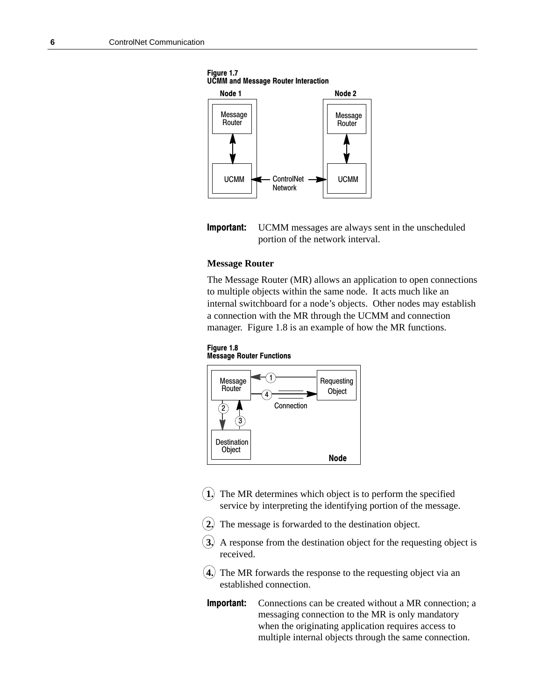

Figure 1.7 **UCMM and Message Router Interaction** 



#### **Message Router**

The Message Router (MR) allows an application to open connections to multiple objects within the same node. It acts much like an internal switchboard for a node's objects. Other nodes may establish a connection with the MR through the UCMM and connection manager. Figure 1.8 is an example of how the MR functions.





- **1.** The MR determines which object is to perform the specified service by interpreting the identifying portion of the message.
- **2.** The message is forwarded to the destination object.
- **3.** A response from the destination object for the requesting object is received.
- **4.** The MR forwards the response to the requesting object via an established connection.
- Important: Connections can be created without a MR connection; a messaging connection to the MR is only mandatory when the originating application requires access to multiple internal objects through the same connection.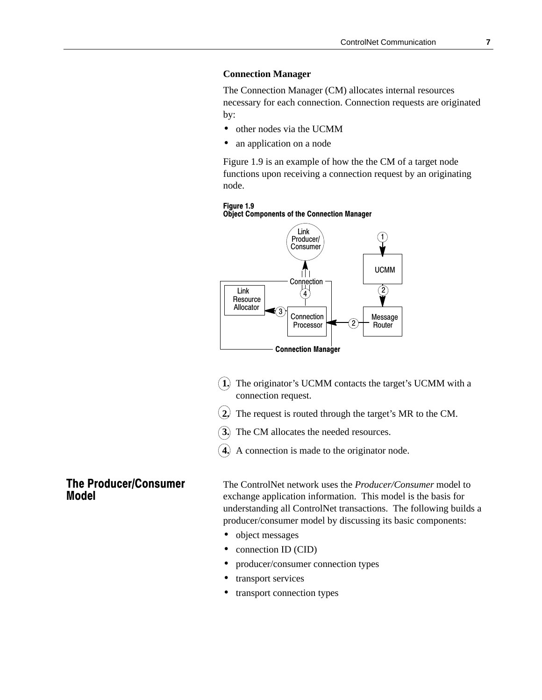#### **Connection Manager**

The Connection Manager (CM) allocates internal resources necessary for each connection. Connection requests are originated by:

- other nodes via the UCMM
- an application on a node

Figure 1.9 is an example of how the the CM of a target node functions upon receiving a connection request by an originating node.





- **1.** The originator's UCMM contacts the target's UCMM with a connection request.
- **2.** The request is routed through the target's MR to the CM.
- **3.** The CM allocates the needed resources.
- **4.** A connection is made to the originator node.

## **The Producer/Consumer Model**

The ControlNet network uses the *Producer/Consumer* model to exchange application information. This model is the basis for understanding all ControlNet transactions. The following builds a producer/consumer model by discussing its basic components:

- object messages
- connection ID (CID)
- producer/consumer connection types
- transport services
- transport connection types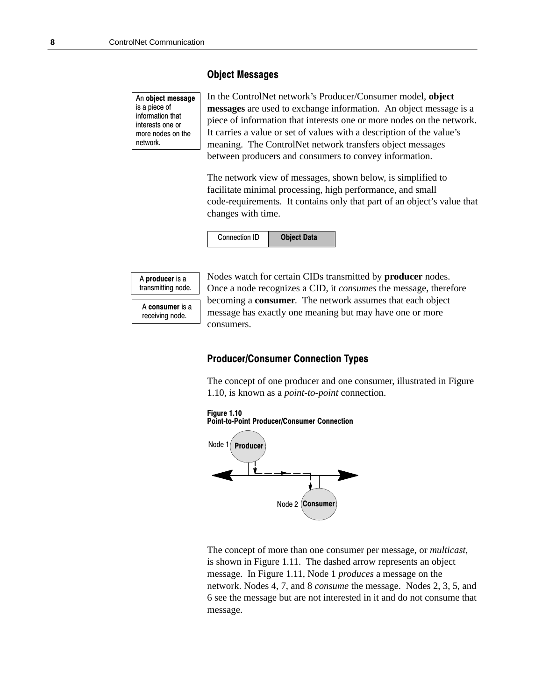### **Object Messages**

An object message is a piece of information that interests one or more nodes on the network.

In the ControlNet network's Producer/Consumer model, **object messages** are used to exchange information. An object message is a piece of information that interests one or more nodes on the network. It carries a value or set of values with a description of the value's meaning. The ControlNet network transfers object messages between producers and consumers to convey information.

The network view of messages, shown below, is simplified to facilitate minimal processing, high performance, and small code-requirements. It contains only that part of an object's value that changes with time.





A consumer is a receiving node.

Nodes watch for certain CIDs transmitted by **producer** nodes. Once a node recognizes a CID, it *consumes* the message, therefore becoming a **consumer**. The network assumes that each object message has exactly one meaning but may have one or more consumers.

#### **Producer/Consumer Connection Types**

The concept of one producer and one consumer, illustrated in Figure 1.10, is known as a *point-to-point* connection.





The concept of more than one consumer per message, or *multicast*, is shown in Figure 1.11. The dashed arrow represents an object message. In Figure 1.11, Node 1 *produces* a message on the network. Nodes 4, 7, and 8 *consume* the message. Nodes 2, 3, 5, and 6 see the message but are not interested in it and do not consume that message.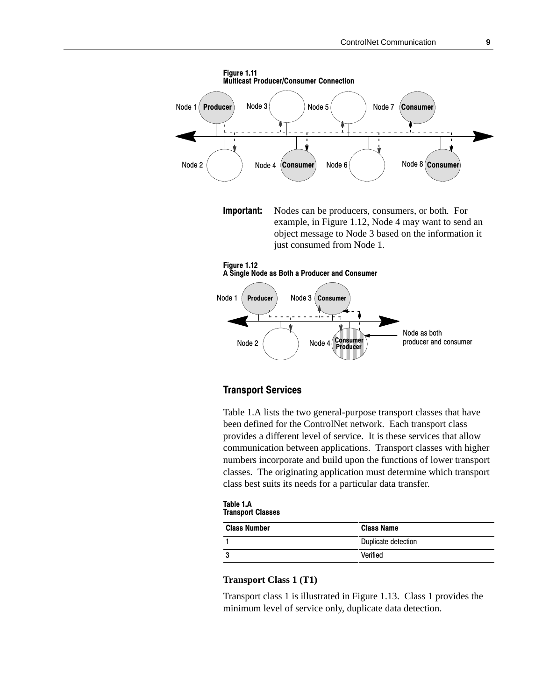

**Important:** Nodes can be producers, consumers, or both. For example, in Figure 1.12, Node 4 may want to send an object message to Node 3 based on the information it just consumed from Node 1.





### **Transport Services**

Table 1.A lists the two general-purpose transport classes that have been defined for the ControlNet network. Each transport class provides a different level of service. It is these services that allow communication between applications. Transport classes with higher numbers incorporate and build upon the functions of lower transport classes. The originating application must determine which transport class best suits its needs for a particular data transfer.

| Table 1.A                |  |
|--------------------------|--|
| <b>Transport Classes</b> |  |

| <b>Class Number</b> | <b>Class Name</b>   |
|---------------------|---------------------|
|                     | Duplicate detection |
|                     | Verified            |

#### **Transport Class 1 (T1)**

Transport class 1 is illustrated in Figure 1.13. Class 1 provides the minimum level of service only, duplicate data detection.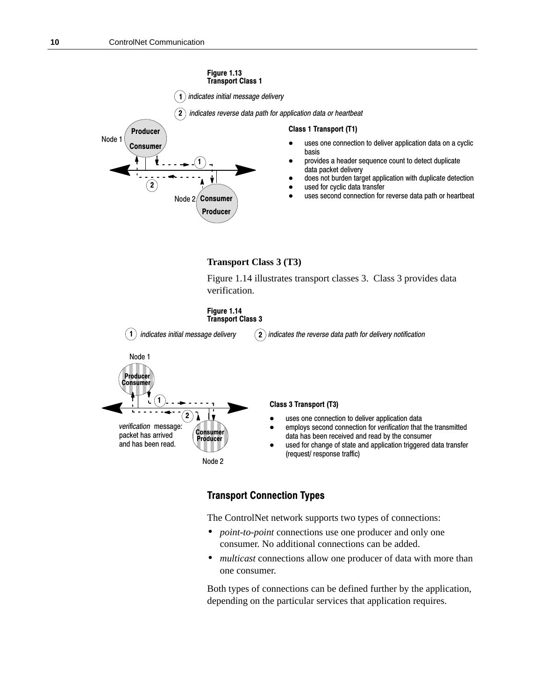

Figure 1.14 illustrates transport classes 3. Class 3 provides data verification.





## **Transport Connection Types**

The ControlNet network supports two types of connections:

 $\blacksquare$  . The contract of the contract of the contract of the contract of the contract of the contract of the contract of the contract of the contract of the contract of the contract of the contract of the contract of the

- *point-to-point* connections use one producer and only one consumer. No additional connections can be added.
- *multicast* connections allow one producer of data with more than one consumer.

Both types of connections can be defined further by the application, depending on the particular services that application requires.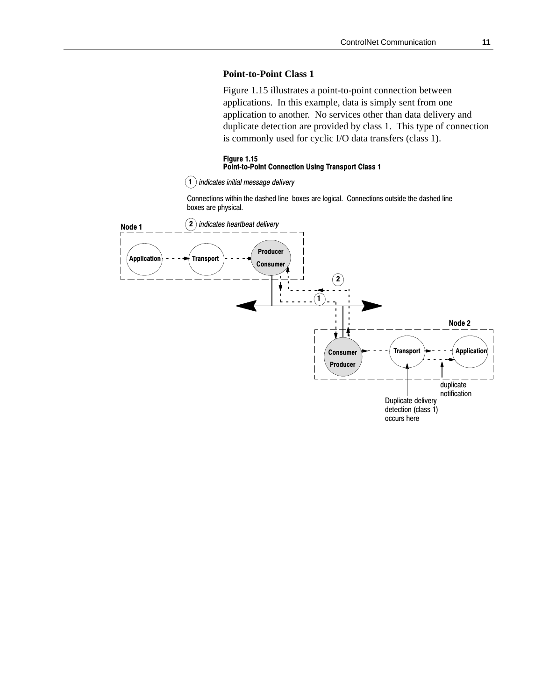#### **Point-to-Point Class 1**

Figure 1.15 illustrates a point-to-point connection between applications. In this example, data is simply sent from one application to another. No services other than data delivery and duplicate detection are provided by class 1. This type of connection is commonly used for cyclic I/O data transfers (class 1).

#### Figure 1.15 **Point-to-Point Connection Using Transport Class 1**

1) indicates initial message delivery I

Connections within the dashed line boxes are logical. Connections outside the dashed line boxes are physical.

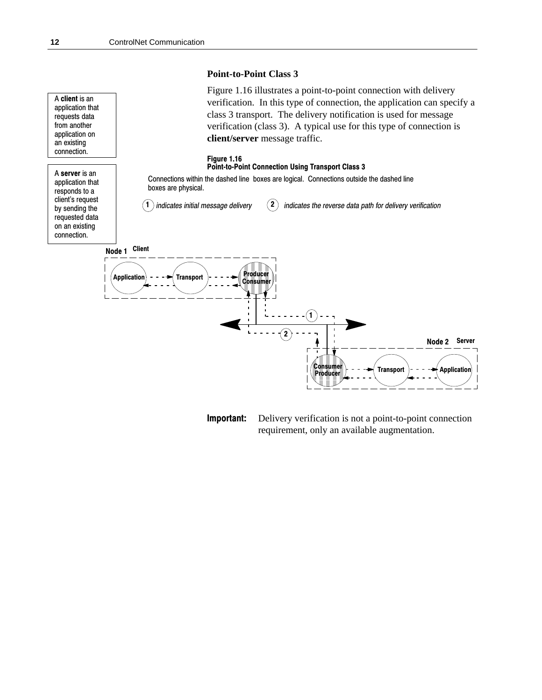



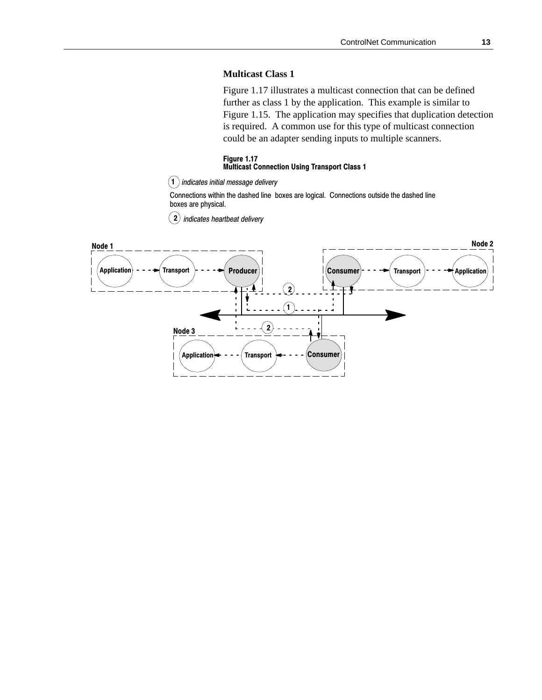#### **Multicast Class 1**

Figure 1.17 illustrates a multicast connection that can be defined further as class 1 by the application. This example is similar to Figure 1.15. The application may specifies that duplication detection is required. A common use for this type of multicast connection could be an adapter sending inputs to multiple scanners.

#### Figure 1.17 **Multicast Connection Using Transport Class 1**

1) indicates initial message delivery l

Connections within the dashed line boxes are logical. Connections outside the dashed line boxes are physical.

 $2)$  indicates heartbeat delivery

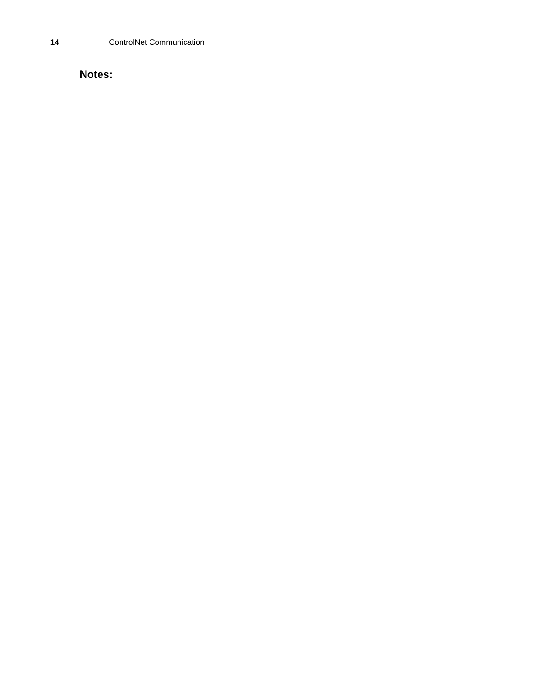# **Notes:**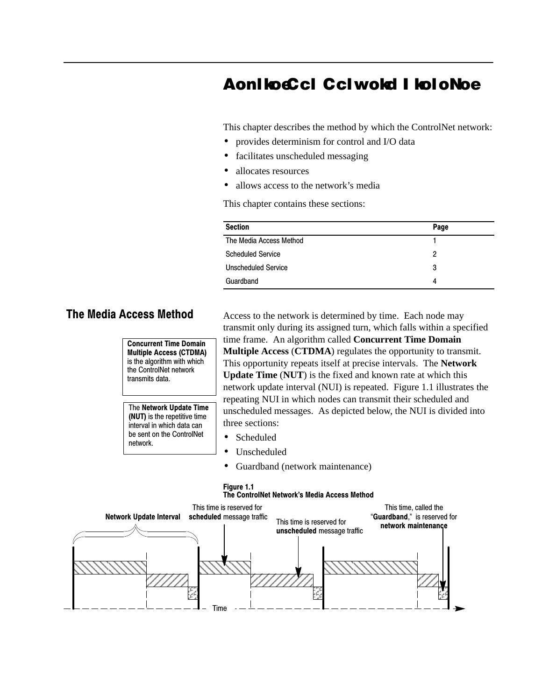# AonliocCcl Cclwold I loloNoe

This chapter describes the method by which the ControlNet network:

- provides determinism for control and I/O data
- facilitates unscheduled messaging  $\bullet$
- allocates resources  $\bullet$
- allows access to the network's media

This chapter contains these sections:

| <b>Section</b>             | Page |
|----------------------------|------|
| The Media Access Method    |      |
| <b>Scheduled Service</b>   | 2    |
| <b>Unscheduled Service</b> | 3    |
| Guardband                  | 4    |

## **The Media Access Method**

**Concurrent Time Domain Multiple Access (CTDMA)** is the algorithm with which the ControlNet network transmits data.

The Network Update Time (NUT) is the repetitive time interval in which data can be sent on the ControlNet network.

Access to the network is determined by time. Each node may transmit only during its assigned turn, which falls within a specified time frame. An algorithm called Concurrent Time Domain **Multiple Access (CTDMA)** regulates the opportunity to transmit. This opportunity repeats itself at precise intervals. The Network **Update Time (NUT)** is the fixed and known rate at which this network update interval (NUI) is repeated. Figure 1.1 illustrates the repeating NUI in which nodes can transmit their scheduled and unscheduled messages. As depicted below, the NUI is divided into three sections:

- Scheduled  $\bullet$
- Unscheduled  $\bullet$
- $\bullet$ Guardband (network maintenance)

#### Figure 1.1 The ControlNet Network's Media Access Method

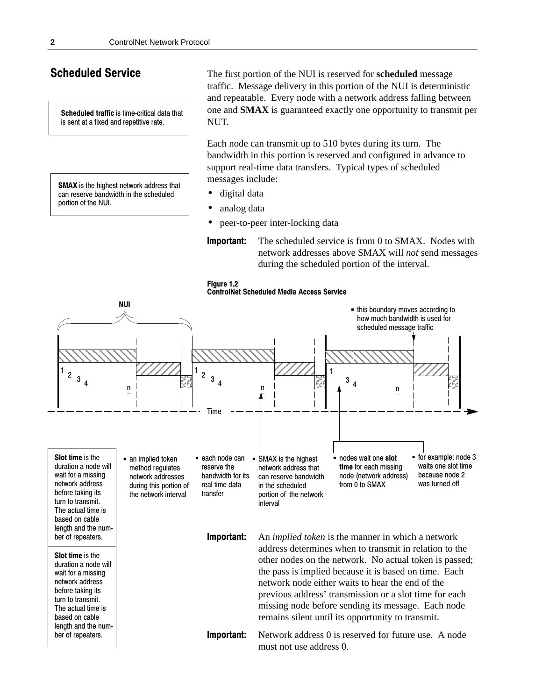## **Scheduled Service**

Scheduled traffic is time-critical data that is sent at a fixed and repetitive rate.

**SMAX** is the highest network address that can reserve bandwidth in the scheduled portion of the NUI.

The first portion of the NUI is reserved for **scheduled** message traffic. Message delivery in this portion of the NUI is deterministic and repeatable. Every node with a network address falling between one and **SMAX** is guaranteed exactly one opportunity to transmit per NUT.

Each node can transmit up to 510 bytes during its turn. The bandwidth in this portion is reserved and configured in advance to support real-time data transfers. Typical types of scheduled messages include:

- digital data  $\bullet$
- analog data
- peer-to-peer inter-locking data
- Important: The scheduled service is from 0 to SMAX. Nodes with network addresses above SMAX will not send messages during the scheduled portion of the interval.



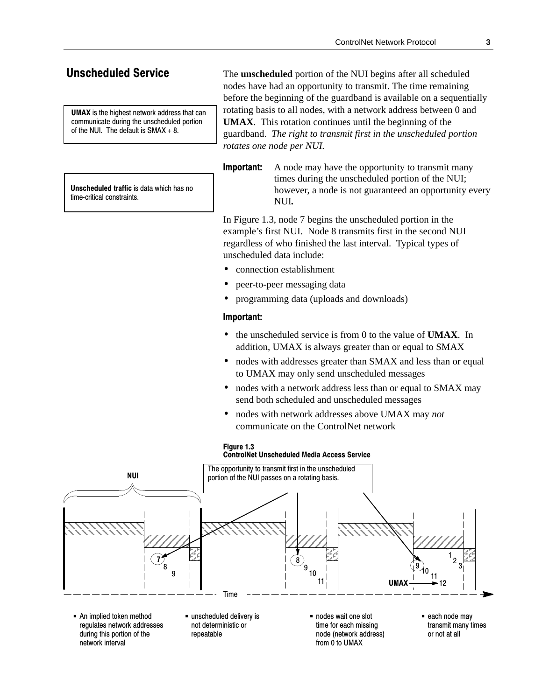## **Unscheduled Service**

**UMAX** is the highest network address that can communicate during the unscheduled portion of the NUI. The default is  $SMAX + 8$ .

Unscheduled traffic is data which has no time-critical constraints.

The **unscheduled** portion of the NUI begins after all scheduled nodes have had an opportunity to transmit. The time remaining before the beginning of the guardband is available on a sequentially rotating basis to all nodes, with a network address between 0 and **UMAX**. This rotation continues until the beginning of the guardband. The right to transmit first in the unscheduled portion rotates one node per NUI.

Important: A node may have the opportunity to transmit many times during the unscheduled portion of the NUI; however, a node is not guaranteed an opportunity every NUI.

In Figure 1.3, node 7 begins the unscheduled portion in the example's first NUI. Node 8 transmits first in the second NUI regardless of who finished the last interval. Typical types of unscheduled data include:

- connection establishment
- peer-to-peer messaging data
- programming data (uploads and downloads)

### Important:

- the unscheduled service is from 0 to the value of UMAX. In addition, UMAX is always greater than or equal to SMAX
- nodes with addresses greater than SMAX and less than or equal to UMAX may only send unscheduled messages
- nodes with a network address less than or equal to SMAX may send both scheduled and unscheduled messages
- nodes with network addresses above UMAX may not communicate on the ControlNet network



regulates network addresses during this portion of the network interval

not deterministic or repeatable

time for each missing node (network address) from 0 to UMAX

transmit many times or not at all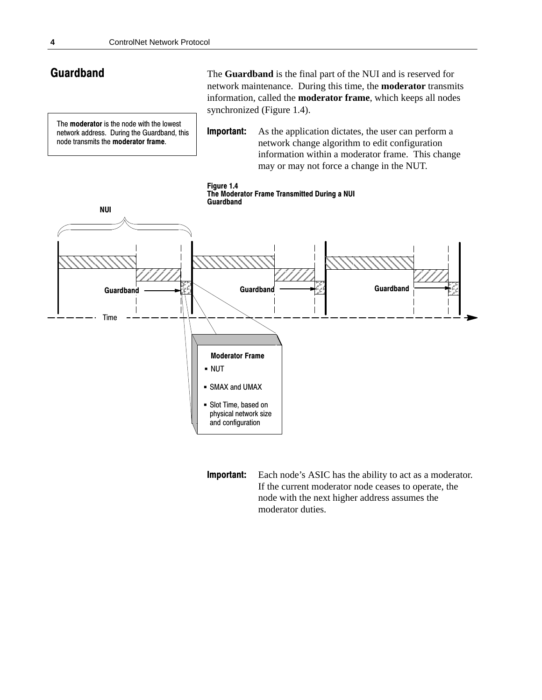## **Guardband**

The **moderator** is the node with the lowest network address. During the Guardband, this node transmits the moderator frame.

The **Guardband** is the final part of the NUI and is reserved for network maintenance. During this time, the **moderator** transmits information, called the **moderator frame**, which keeps all nodes synchronized (Figure 1.4).

**Important:** As the application dictates, the user can perform a network change algorithm to edit configuration information within a moderator frame. This change may or may not force a change in the NUT.



**Important:** Each node's ASIC has the ability to act as a moderator. If the current moderator node ceases to operate, the node with the next higher address assumes the moderator duties.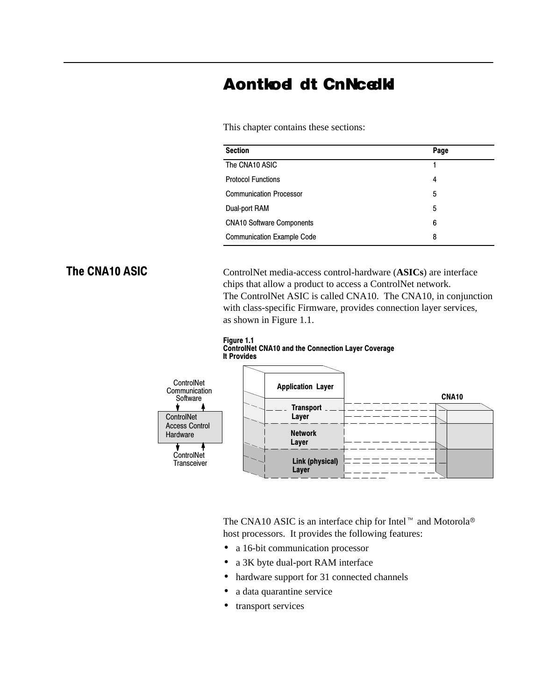# **Aontlod dt CnNcelld**

This chapter contains these sections:

| <b>Section</b>                    | Page |
|-----------------------------------|------|
| The CNA10 ASIC                    |      |
| <b>Protocol Functions</b>         | 4    |
| <b>Communication Processor</b>    | 5    |
| Dual-port RAM                     | 5    |
| <b>CNA10 Software Components</b>  | 6    |
| <b>Communication Example Code</b> | 8    |

# The CNA10 ASIC

ControlNet media-access control-hardware (**ASICs**) are interface chips that allow a product to access a ControlNet network. The ControlNet ASIC is called CNA10. The CNA10, in conjunction with class-specific Firmware, provides connection layer services, as shown in Figure 1.1.





The CNA10 ASIC is an interface chip for Intel  $\overline{M}$  and Motorola<sup>®</sup> host processors. It provides the following features:

- a 16-bit communication processor
- a 3K byte dual-port RAM interface
- hardware support for 31 connected channels
- a data quarantine service
- transport services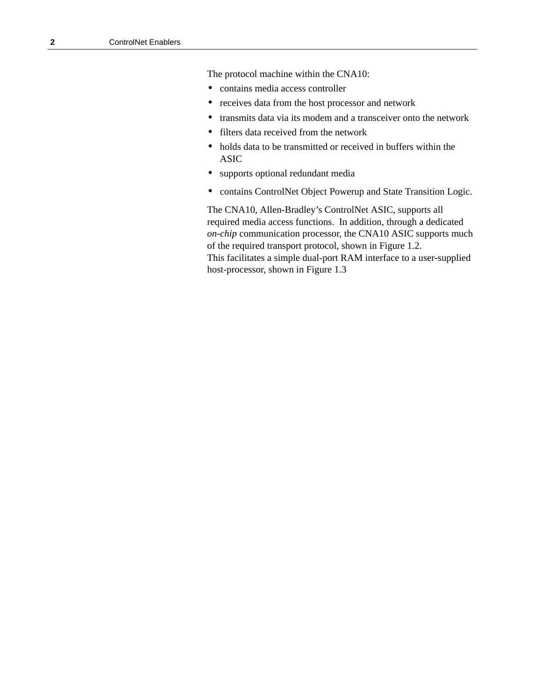The protocol machine within the CNA10:

- contains media access controller
- receives data from the host processor and network
- transmits data via its modem and a transceiver onto the network
- filters data received from the network
- holds data to be transmitted or received in buffers within the ASIC
- supports optional redundant media
- contains ControlNet Object Powerup and State Transition Logic.

The CNA10, Allen-Bradley's ControlNet ASIC, supports all required media access functions. In addition, through a dedicated *on-chip* communication processor, the CNA10 ASIC supports much of the required transport protocol, shown in Figure 1.2. This facilitates a simple dual-port RAM interface to a user-supplied host-processor, shown in Figure 1.3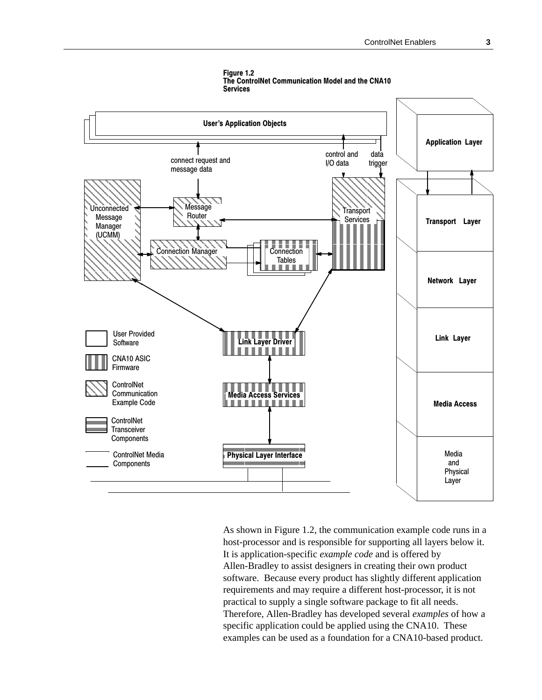

Figure 1.2 The ControlNet Communication Model and the CNA10 **Services** 

As shown in Figure 1.2, the communication example code runs in a host-processor and is responsible for supporting all layers below it. It is application-specific *example code* and is offered by Allen-Bradley to assist designers in creating their own product software. Because every product has slightly different application requirements and may require a different host-processor, it is not practical to supply a single software package to fit all needs. Therefore, Allen-Bradley has developed several examples of how a specific application could be applied using the CNA10. These examples can be used as a foundation for a CNA10-based product.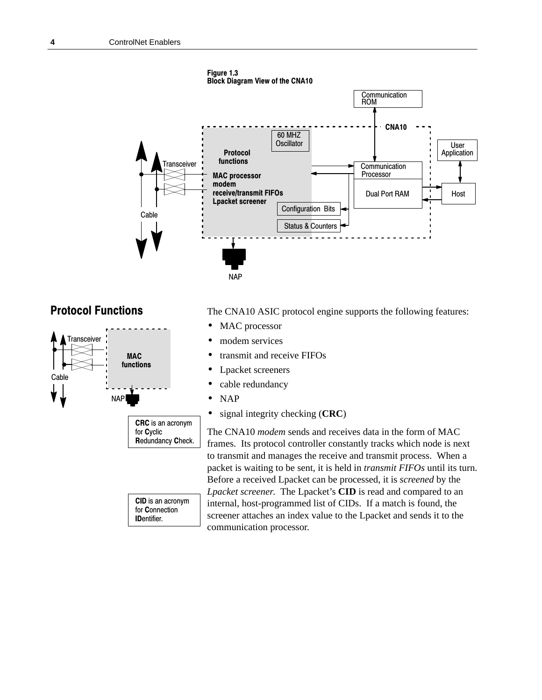

# **Protocol Functions**



The CNA10 ASIC protocol engine supports the following features:

- MAC processor
- modem services
- transmit and receive FIFOs
- Lpacket screeners
- cable redundancy
- NAP
- signal integrity checking (**CRC**)

The CNA10 *modem* sends and receives data in the form of MAC frames. Its protocol controller constantly tracks which node is next to transmit and manages the receive and transmit process. When a packet is waiting to be sent, it is held in *transmit FIFOs* until its turn. Before a received Lpacket can be processed, it is *screened* by the *Lpacket screener*. The Lpacket's **CID** is read and compared to an internal, host-programmed list of CIDs. If a match is found, the screener attaches an index value to the Lpacket and sends it to the communication processor.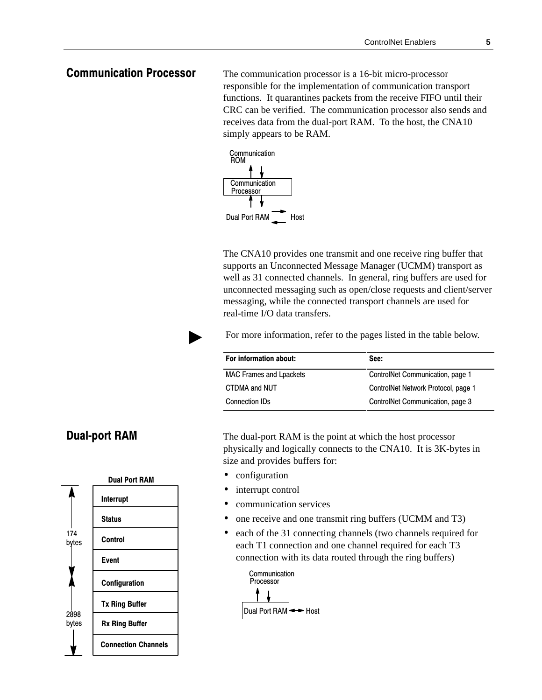## **Communication Processor**

The communication processor is a 16-bit micro-processor responsible for the implementation of communication transport functions. It quarantines packets from the receive FIFO until their CRC can be verified. The communication processor also sends and receives data from the dual-port RAM. To the host, the CNA10 simply appears to be RAM.



The CNA10 provides one transmit and one receive ring buffer that supports an Unconnected Message Manager (UCMM) transport as well as 31 connected channels. In general, ring buffers are used for unconnected messaging such as open/close requests and client/server messaging, while the connected transport channels are used for real-time I/O data transfers.

For more information, refer to the pages listed in the table below.

| For information about:         | See:                                |
|--------------------------------|-------------------------------------|
| <b>MAC Frames and Lpackets</b> | ControlNet Communication, page 1    |
| CTDMA and NUT                  | ControlNet Network Protocol, page 1 |
| <b>Connection IDs</b>          | ControlNet Communication, page 3    |

The dual-port RAM is the point at which the host processor physically and logically connects to the CNA10. It is 3K-bytes in size and provides buffers for:

• configuration

 $\mathbf{r}$ 

- interrupt control
- communication services
- one receive and one transmit ring buffers (UCMM and T3)
- each of the 31 connecting channels (two channels required for each T1 connection and one channel required for each T3 connection with its data routed through the ring buffers)



## **Dual-port RAM**

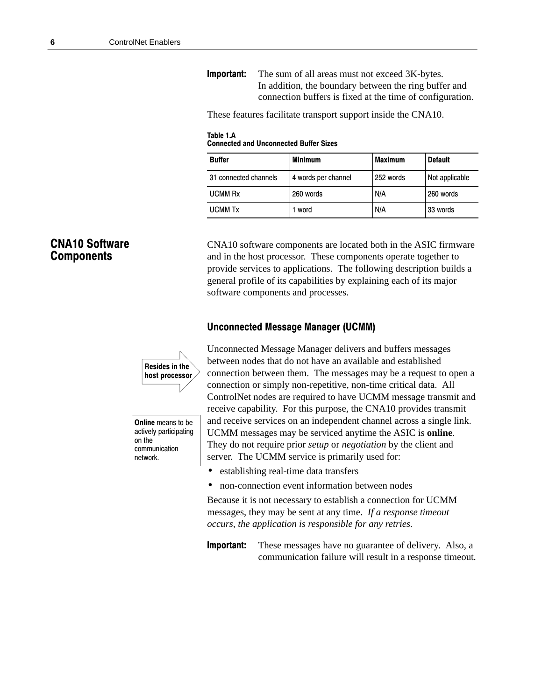**Important:** The sum of all areas must not exceed 3K-bytes. In addition, the boundary between the ring buffer and connection buffers is fixed at the time of configuration.

These features facilitate transport support inside the CNA10.

Table 1.A **Connected and Unconnected Buffer Sizes** 

| <b>Buffer</b>         | <b>Minimum</b>      | <b>Maximum</b> | <b>Default</b> |
|-----------------------|---------------------|----------------|----------------|
| 31 connected channels | 4 words per channel | 252 words      | Not applicable |
| <b>UCMM Rx</b>        | 260 words           | N/A            | 260 words      |
| <b>UCMM Tx</b>        | word                | N/A            | 33 words       |

## **CNA10 Software Components**

CNA10 software components are located both in the ASIC firmware and in the host processor. These components operate together to provide services to applications. The following description builds a general profile of its capabilities by explaining each of its major software components and processes.

### Unconnected Message Manager (UCMM)



Online means to be actively participating on the communication network.

Unconnected Message Manager delivers and buffers messages between nodes that do not have an available and established connection between them. The messages may be a request to open a connection or simply non-repetitive, non-time critical data. All ControlNet nodes are required to have UCMM message transmit and receive capability. For this purpose, the CNA10 provides transmit and receive services on an independent channel across a single link. UCMM messages may be serviced anytime the ASIC is **online**. They do not require prior *setup* or *negotiation* by the client and server. The UCMM service is primarily used for:

- establishing real-time data transfers
- non-connection event information between nodes

Because it is not necessary to establish a connection for UCMM messages, they may be sent at any time. *If a response timeout occurs, the application is responsible for any retries.*

**Important:** These messages have no guarantee of delivery. Also, a communication failure will result in a response timeout*.*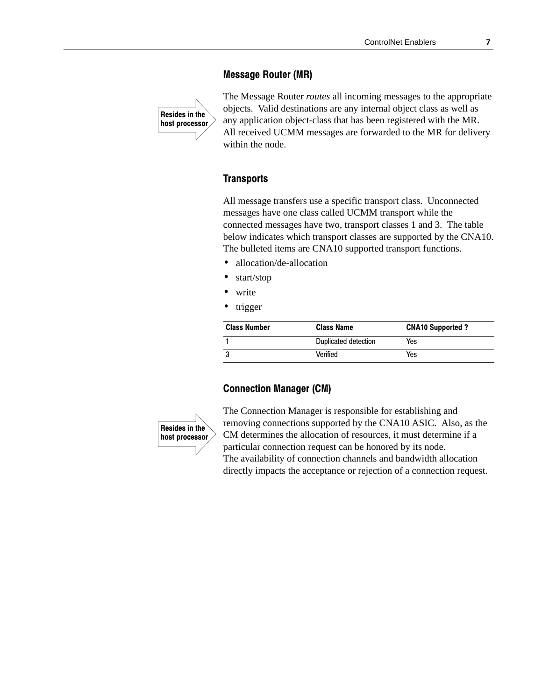### **Message Router (MR)**



The Message Router *routes* all incoming messages to the appropriate objects. Valid destinations are any internal object class as well as any application object-class that has been registered with the MR. All received UCMM messages are forwarded to the MR for delivery within the node.

#### **Transports**

All message transfers use a specific transport class. Unconnected messages have one class called UCMM transport while the connected messages have two, transport classes 1 and 3. The table below indicates which transport classes are supported by the CNA10. The bulleted items are CNA10 supported transport functions.

- allocation/de-allocation
- start/stop
- write
- trigger

| <b>Class Number</b> | <b>Class Name</b>    | <b>CNA10 Supported?</b> |
|---------------------|----------------------|-------------------------|
|                     | Duplicated detection | Yes                     |
|                     | Verified             | Yes                     |

### **Connection Manager (CM)**



The Connection Manager is responsible for establishing and removing connections supported by the CNA10 ASIC. Also, as the CM determines the allocation of resources, it must determine if a particular connection request can be honored by its node. The availability of connection channels and bandwidth allocation directly impacts the acceptance or rejection of a connection request.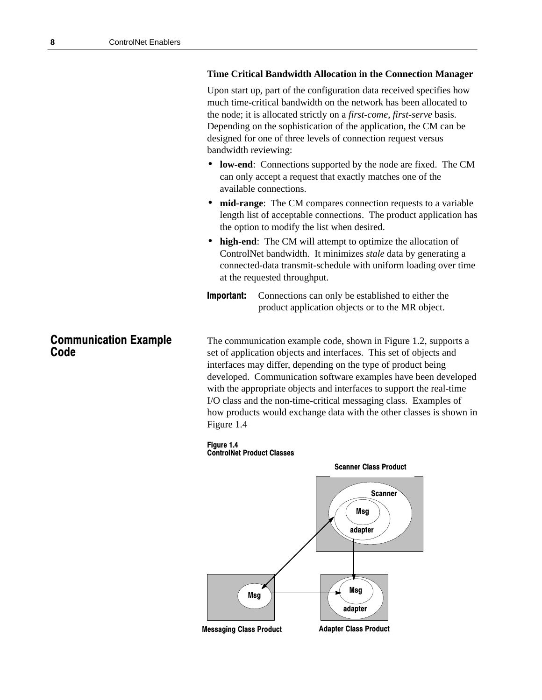#### **Time Critical Bandwidth Allocation in the Connection Manager**

Upon start up, part of the configuration data received specifies how much time-critical bandwidth on the network has been allocated to the node; it is allocated strictly on a *first-come, first-serve* basis. Depending on the sophistication of the application, the CM can be designed for one of three levels of connection request versus bandwidth reviewing:

- **low-end**: Connections supported by the node are fixed. The CM can only accept a request that exactly matches one of the available connections.
- **mid-range**: The CM compares connection requests to a variable length list of acceptable connections. The product application has the option to modify the list when desired.
- **high-end**: The CM will attempt to optimize the allocation of ControlNet bandwidth. It minimizes *stale* data by generating a connected-data transmit-schedule with uniform loading over time at the requested throughput.
- Important: Connections can only be established to either the product application objects or to the MR object.

The communication example code, shown in Figure 1.2, supports a set of application objects and interfaces. This set of objects and interfaces may differ, depending on the type of product being developed. Communication software examples have been developed with the appropriate objects and interfaces to support the real-time I/O class and the non-time-critical messaging class. Examples of how products would exchange data with the other classes is shown in Figure 1.4

#### Figure 1.4 **ControlNet Product Classes**



## **Communication Example** Code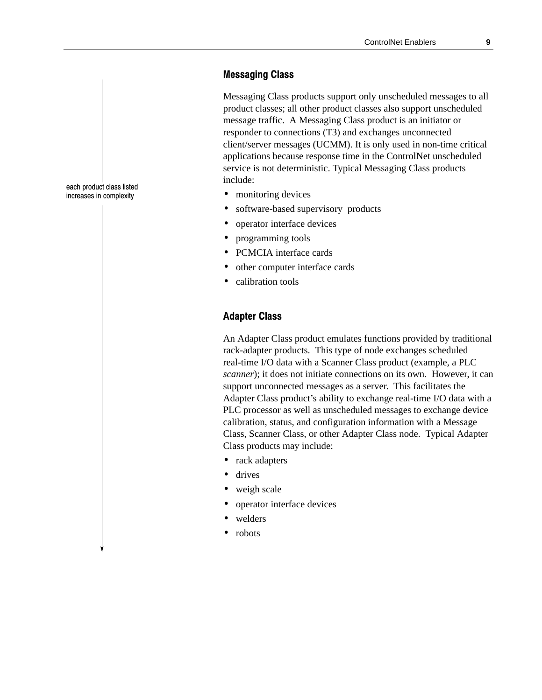## **Messaging Class**

Messaging Class products support only unscheduled messages to all product classes; all other product classes also support unscheduled message traffic. A Messaging Class product is an initiator or responder to connections (T3) and exchanges unconnected client/server messages (UCMM). It is only used in non-time critical applications because response time in the ControlNet unscheduled service is not deterministic. Typical Messaging Class products include:

- monitoring devices
- software-based supervisory products
- operator interface devices
- programming tools
- PCMCIA interface cards
- other computer interface cards
- calibration tools

## Adapter Class

An Adapter Class product emulates functions provided by traditional rack-adapter products. This type of node exchanges scheduled real-time I/O data with a Scanner Class product (example, a PLC *scanner*); it does not initiate connections on its own. However, it can support unconnected messages as a server. This facilitates the Adapter Class product's ability to exchange real-time I/O data with a PLC processor as well as unscheduled messages to exchange device calibration, status, and configuration information with a Message Class, Scanner Class, or other Adapter Class node. Typical Adapter Class products may include:

- rack adapters
- drives
- weigh scale
- operator interface devices
- welders
- robots

each product class listed increases in complexity